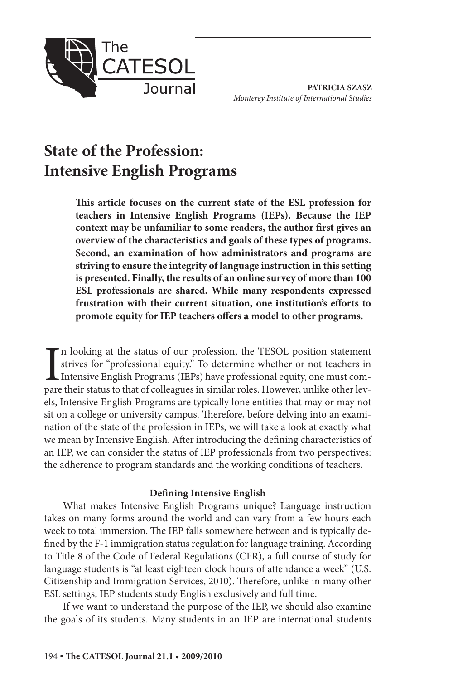

**PATRICIA SZASZ** *Monterey Institute of International Studies*

# **State of the Profession: Intensive English Programs**

**This article focuses on the current state of the ESL profession for teachers in Intensive English Programs (IEPs). Because the IEP context may be unfamiliar to some readers, the author first gives an overview of the characteristics and goals of these types of programs. Second, an examination of how administrators and programs are striving to ensure the integrity of language instruction in this setting is presented. Finally, the results of an online survey of more than 100 ESL professionals are shared. While many respondents expressed frustration with their current situation, one institution's efforts to promote equity for IEP teachers offers a model to other programs.**

I<br>pare n looking at the status of our profession, the TESOL position statement strives for "professional equity." To determine whether or not teachers in Intensive English Programs (IEPs) have professional equity, one must compare their status to that of colleagues in similar roles. However, unlike other levels, Intensive English Programs are typically lone entities that may or may not sit on a college or university campus. Therefore, before delving into an examination of the state of the profession in IEPs, we will take a look at exactly what we mean by Intensive English. After introducing the defining characteristics of an IEP, we can consider the status of IEP professionals from two perspectives: the adherence to program standards and the working conditions of teachers.

#### **Defining Intensive English**

What makes Intensive English Programs unique? Language instruction takes on many forms around the world and can vary from a few hours each week to total immersion. The IEP falls somewhere between and is typically defined by the F-1 immigration status regulation for language training. According to Title 8 of the Code of Federal Regulations (CFR), a full course of study for language students is "at least eighteen clock hours of attendance a week" (U.S. Citizenship and Immigration Services, 2010). Therefore, unlike in many other ESL settings, IEP students study English exclusively and full time.

If we want to understand the purpose of the IEP, we should also examine the goals of its students. Many students in an IEP are international students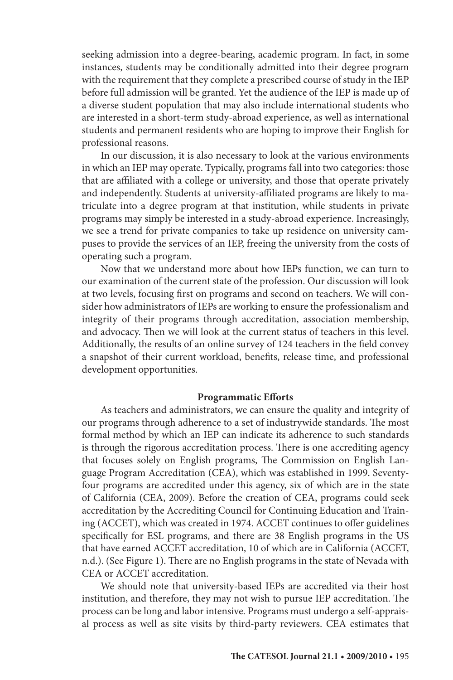seeking admission into a degree-bearing, academic program. In fact, in some instances, students may be conditionally admitted into their degree program with the requirement that they complete a prescribed course of study in the IEP before full admission will be granted. Yet the audience of the IEP is made up of a diverse student population that may also include international students who are interested in a short-term study-abroad experience, as well as international students and permanent residents who are hoping to improve their English for professional reasons.

In our discussion, it is also necessary to look at the various environments in which an IEP may operate. Typically, programs fall into two categories: those that are affiliated with a college or university, and those that operate privately and independently. Students at university-affiliated programs are likely to matriculate into a degree program at that institution, while students in private programs may simply be interested in a study-abroad experience. Increasingly, we see a trend for private companies to take up residence on university campuses to provide the services of an IEP, freeing the university from the costs of operating such a program.

Now that we understand more about how IEPs function, we can turn to our examination of the current state of the profession. Our discussion will look at two levels, focusing first on programs and second on teachers. We will consider how administrators of IEPs are working to ensure the professionalism and integrity of their programs through accreditation, association membership, and advocacy. Then we will look at the current status of teachers in this level. Additionally, the results of an online survey of 124 teachers in the field convey a snapshot of their current workload, benefits, release time, and professional development opportunities.

#### **Programmatic Efforts**

As teachers and administrators, we can ensure the quality and integrity of our programs through adherence to a set of industrywide standards. The most formal method by which an IEP can indicate its adherence to such standards is through the rigorous accreditation process. There is one accrediting agency that focuses solely on English programs, The Commission on English Language Program Accreditation (CEA), which was established in 1999. Seventyfour programs are accredited under this agency, six of which are in the state of California (CEA, 2009). Before the creation of CEA, programs could seek accreditation by the Accrediting Council for Continuing Education and Training (ACCET), which was created in 1974. ACCET continues to offer guidelines specifically for ESL programs, and there are 38 English programs in the US that have earned ACCET accreditation, 10 of which are in California (ACCET, n.d.). (See Figure 1). There are no English programs in the state of Nevada with CEA or ACCET accreditation.

We should note that university-based IEPs are accredited via their host institution, and therefore, they may not wish to pursue IEP accreditation. The process can be long and labor intensive. Programs must undergo a self-appraisal process as well as site visits by third-party reviewers. CEA estimates that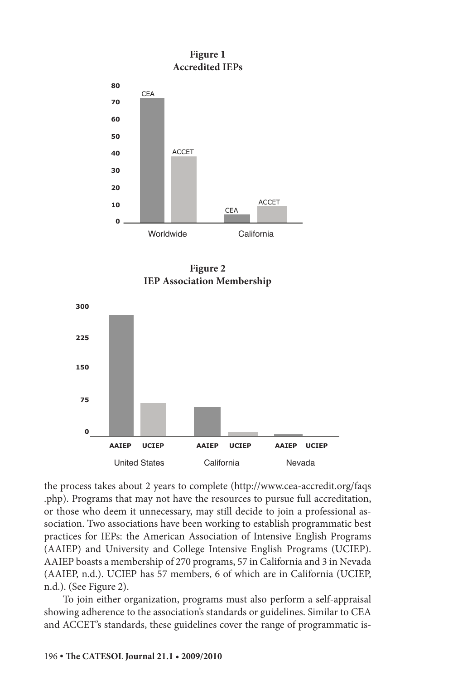

**Figure 2 IEP Association Membership**



the process takes about 2 years to complete (http://www.cea-accredit.org/faqs .php). Programs that may not have the resources to pursue full accreditation, or those who deem it unnecessary, may still decide to join a professional association. Two associations have been working to establish programmatic best practices for IEPs: the American Association of Intensive English Programs (AAIEP) and University and College Intensive English Programs (UCIEP). AAIEP boasts a membership of 270 programs, 57 in California and 3 in Nevada (AAIEP, n.d.). UCIEP has 57 members, 6 of which are in California (UCIEP, n.d.). (See Figure 2).

To join either organization, programs must also perform a self-appraisal showing adherence to the association's standards or guidelines. Similar to CEA and ACCET's standards, these guidelines cover the range of programmatic is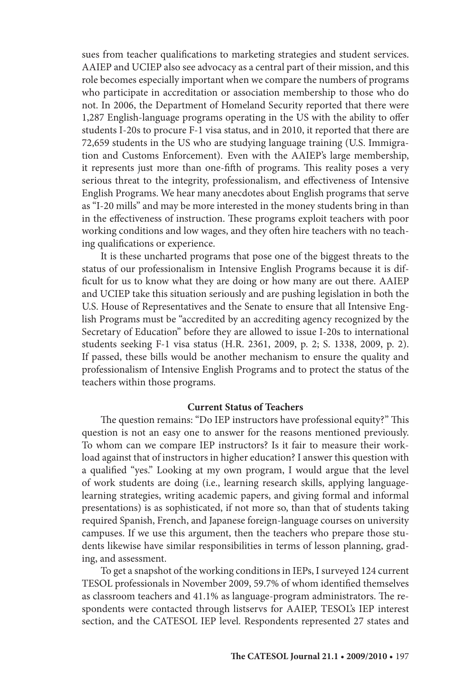sues from teacher qualifications to marketing strategies and student services. AAIEP and UCIEP also see advocacy as a central part of their mission, and this role becomes especially important when we compare the numbers of programs who participate in accreditation or association membership to those who do not. In 2006, the Department of Homeland Security reported that there were 1,287 English-language programs operating in the US with the ability to offer students I-20s to procure F-1 visa status, and in 2010, it reported that there are 72,659 students in the US who are studying language training (U.S. Immigration and Customs Enforcement). Even with the AAIEP's large membership, it represents just more than one-fifth of programs. This reality poses a very serious threat to the integrity, professionalism, and effectiveness of Intensive English Programs. We hear many anecdotes about English programs that serve as "I-20 mills" and may be more interested in the money students bring in than in the effectiveness of instruction. These programs exploit teachers with poor working conditions and low wages, and they often hire teachers with no teaching qualifications or experience.

It is these uncharted programs that pose one of the biggest threats to the status of our professionalism in Intensive English Programs because it is difficult for us to know what they are doing or how many are out there. AAIEP and UCIEP take this situation seriously and are pushing legislation in both the U.S. House of Representatives and the Senate to ensure that all Intensive English Programs must be "accredited by an accrediting agency recognized by the Secretary of Education" before they are allowed to issue I-20s to international students seeking F-1 visa status (H.R. 2361, 2009, p. 2; S. 1338, 2009, p. 2). If passed, these bills would be another mechanism to ensure the quality and professionalism of Intensive English Programs and to protect the status of the teachers within those programs.

#### **Current Status of Teachers**

The question remains: "Do IEP instructors have professional equity?" This question is not an easy one to answer for the reasons mentioned previously. To whom can we compare IEP instructors? Is it fair to measure their workload against that of instructors in higher education? I answer this question with a qualified "yes." Looking at my own program, I would argue that the level of work students are doing (i.e., learning research skills, applying languagelearning strategies, writing academic papers, and giving formal and informal presentations) is as sophisticated, if not more so, than that of students taking required Spanish, French, and Japanese foreign-language courses on university campuses. If we use this argument, then the teachers who prepare those students likewise have similar responsibilities in terms of lesson planning, grading, and assessment.

To get a snapshot of the working conditions in IEPs, I surveyed 124 current TESOL professionals in November 2009, 59.7% of whom identified themselves as classroom teachers and 41.1% as language-program administrators. The respondents were contacted through listservs for AAIEP, TESOL's IEP interest section, and the CATESOL IEP level. Respondents represented 27 states and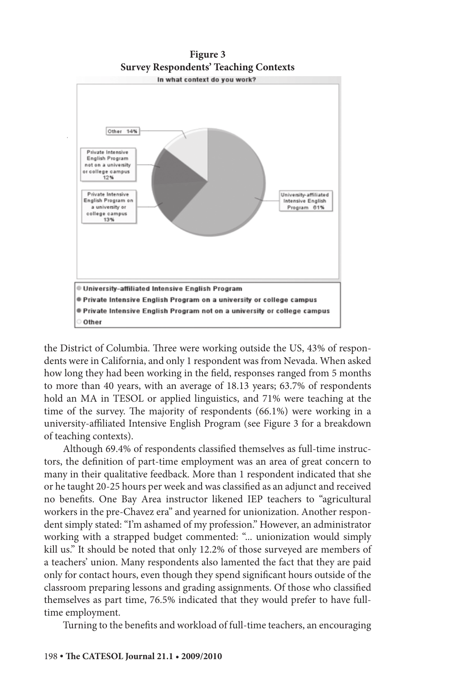



the District of Columbia. Three were working outside the US, 43% of respondents were in California, and only 1 respondent was from Nevada. When asked how long they had been working in the field, responses ranged from 5 months to more than 40 years, with an average of 18.13 years; 63.7% of respondents hold an MA in TESOL or applied linguistics, and 71% were teaching at the time of the survey. The majority of respondents (66.1%) were working in a university-affiliated Intensive English Program (see Figure 3 for a breakdown of teaching contexts).

Although 69.4% of respondents classified themselves as full-time instructors, the definition of part-time employment was an area of great concern to many in their qualitative feedback. More than 1 respondent indicated that she or he taught 20-25 hours per week and was classified as an adjunct and received no benefits. One Bay Area instructor likened IEP teachers to "agricultural workers in the pre-Chavez era" and yearned for unionization. Another respondent simply stated: "I'm ashamed of my profession." However, an administrator working with a strapped budget commented: "... unionization would simply kill us." It should be noted that only 12.2% of those surveyed are members of a teachers' union. Many respondents also lamented the fact that they are paid only for contact hours, even though they spend significant hours outside of the classroom preparing lessons and grading assignments. Of those who classified themselves as part time, 76.5% indicated that they would prefer to have fulltime employment.

Turning to the benefits and workload of full-time teachers, an encouraging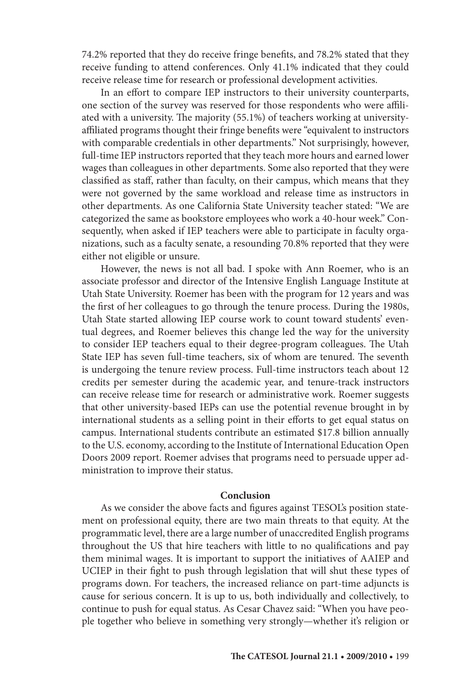74.2% reported that they do receive fringe benefits, and 78.2% stated that they receive funding to attend conferences. Only 41.1% indicated that they could receive release time for research or professional development activities.

In an effort to compare IEP instructors to their university counterparts, one section of the survey was reserved for those respondents who were affiliated with a university. The majority (55.1%) of teachers working at universityaffiliated programs thought their fringe benefits were "equivalent to instructors with comparable credentials in other departments." Not surprisingly, however, full-time IEP instructors reported that they teach more hours and earned lower wages than colleagues in other departments. Some also reported that they were classified as staff, rather than faculty, on their campus, which means that they were not governed by the same workload and release time as instructors in other departments. As one California State University teacher stated: "We are categorized the same as bookstore employees who work a 40-hour week." Consequently, when asked if IEP teachers were able to participate in faculty organizations, such as a faculty senate, a resounding 70.8% reported that they were either not eligible or unsure.

However, the news is not all bad. I spoke with Ann Roemer, who is an associate professor and director of the Intensive English Language Institute at Utah State University. Roemer has been with the program for 12 years and was the first of her colleagues to go through the tenure process. During the 1980s, Utah State started allowing IEP course work to count toward students' eventual degrees, and Roemer believes this change led the way for the university to consider IEP teachers equal to their degree-program colleagues. The Utah State IEP has seven full-time teachers, six of whom are tenured. The seventh is undergoing the tenure review process. Full-time instructors teach about 12 credits per semester during the academic year, and tenure-track instructors can receive release time for research or administrative work. Roemer suggests that other university-based IEPs can use the potential revenue brought in by international students as a selling point in their efforts to get equal status on campus. International students contribute an estimated \$17.8 billion annually to the U.S. economy, according to the Institute of International Education Open Doors 2009 report. Roemer advises that programs need to persuade upper administration to improve their status.

#### **Conclusion**

As we consider the above facts and figures against TESOL's position statement on professional equity, there are two main threats to that equity. At the programmatic level, there are a large number of unaccredited English programs throughout the US that hire teachers with little to no qualifications and pay them minimal wages. It is important to support the initiatives of AAIEP and UCIEP in their fight to push through legislation that will shut these types of programs down. For teachers, the increased reliance on part-time adjuncts is cause for serious concern. It is up to us, both individually and collectively, to continue to push for equal status. As Cesar Chavez said: "When you have people together who believe in something very strongly—whether it's religion or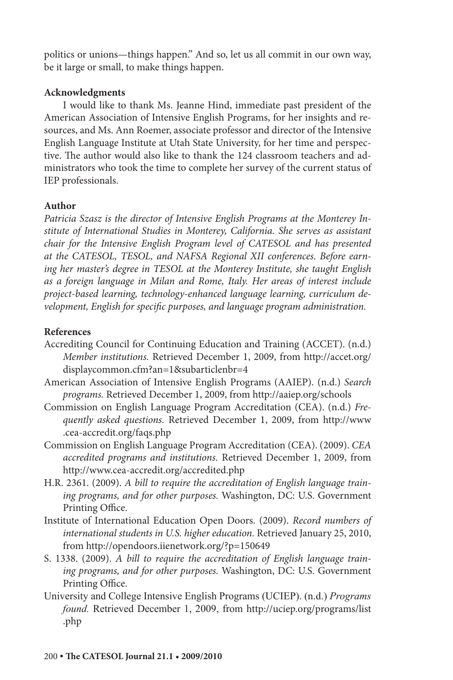politics or unions—things happen." And so, let us all commit in our own way, be it large or small, to make things happen.

# **Acknowledgments**

I would like to thank Ms. Jeanne Hind, immediate past president of the American Association of Intensive English Programs, for her insights and resources, and Ms. Ann Roemer, associate professor and director of the Intensive English Language Institute at Utah State University, for her time and perspective. The author would also like to thank the 124 classroom teachers and administrators who took the time to complete her survey of the current status of IEP professionals.

# **Author**

*Patricia Szasz is the director of Intensive English Programs at the Monterey Institute of International Studies in Monterey, California. She serves as assistant chair for the Intensive English Program level of CATESOL and has presented at the CATESOL, TESOL, and NAFSA Regional XII conferences. Before earning her master's degree in TESOL at the Monterey Institute, she taught English as a foreign language in Milan and Rome, Italy. Her areas of interest include project-based learning, technology-enhanced language learning, curriculum development, English for specific purposes, and language program administration.*

# **References**

- Accrediting Council for Continuing Education and Training (ACCET). (n.d.) *Member institutions.* Retrieved December 1, 2009, from http://accet.org/ displaycommon.cfm?an=1&subarticlenbr=4
- American Association of Intensive English Programs (AAIEP). (n.d.) *Search programs.* Retrieved December 1, 2009, from http://aaiep.org/schools
- Commission on English Language Program Accreditation (CEA). (n.d.) *Frequently asked questions.* Retrieved December 1, 2009, from http://www .cea-accredit.org/faqs.php
- Commission on English Language Program Accreditation (CEA). (2009). *CEA accredited programs and institutions.* Retrieved December 1, 2009, from http://www.cea-accredit.org/accredited.php
- H.R. 2361. (2009). *A bill to require the accreditation of English language training programs, and for other purposes.* Washington, DC: U.S. Government Printing Office.
- Institute of International Education Open Doors. (2009). *Record numbers of international students in U.S. higher education.* Retrieved January 25, 2010, from http://opendoors.iienetwork.org/?p=150649
- S. 1338. (2009). *A bill to require the accreditation of English language training programs, and for other purposes.* Washington, DC: U.S. Government Printing Office.
- University and College Intensive English Programs (UCIEP). (n.d.) *Programs found.* Retrieved December 1, 2009, from http://uciep.org/programs/list .php